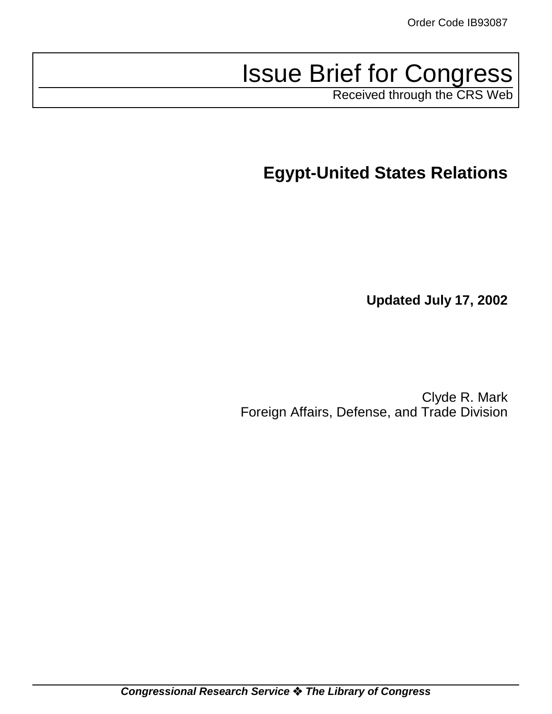# Issue Brief for Congress

Received through the CRS Web

**Egypt-United States Relations**

**Updated July 17, 2002**

Clyde R. Mark Foreign Affairs, Defense, and Trade Division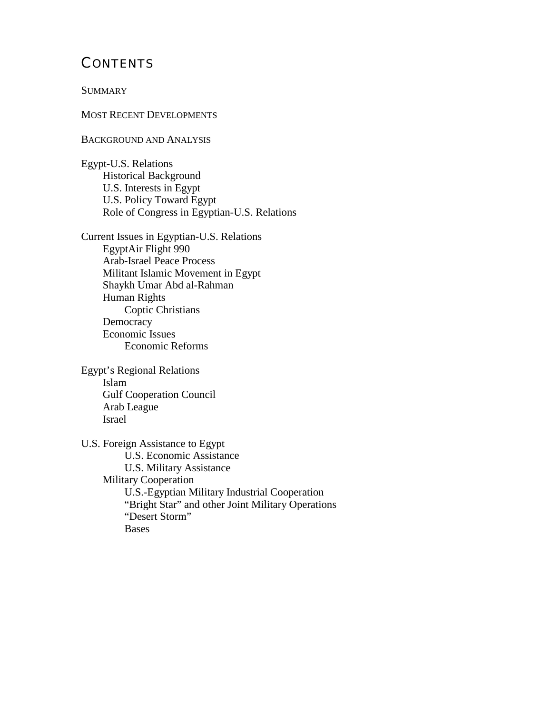# **CONTENTS**

**SUMMARY** 

MOST RECENT DEVELOPMENTS

BACKGROUND AND ANALYSIS

Egypt-U.S. Relations Historical Background U.S. Interests in Egypt U.S. Policy Toward Egypt Role of Congress in Egyptian-U.S. Relations

Current Issues in Egyptian-U.S. Relations EgyptAir Flight 990 Arab-Israel Peace Process Militant Islamic Movement in Egypt Shaykh Umar Abd al-Rahman Human Rights Coptic Christians **Democracy** Economic Issues Economic Reforms

Egypt's Regional Relations Islam Gulf Cooperation Council Arab League Israel

U.S. Foreign Assistance to Egypt U.S. Economic Assistance U.S. Military Assistance Military Cooperation U.S.-Egyptian Military Industrial Cooperation "Bright Star" and other Joint Military Operations "Desert Storm" Bases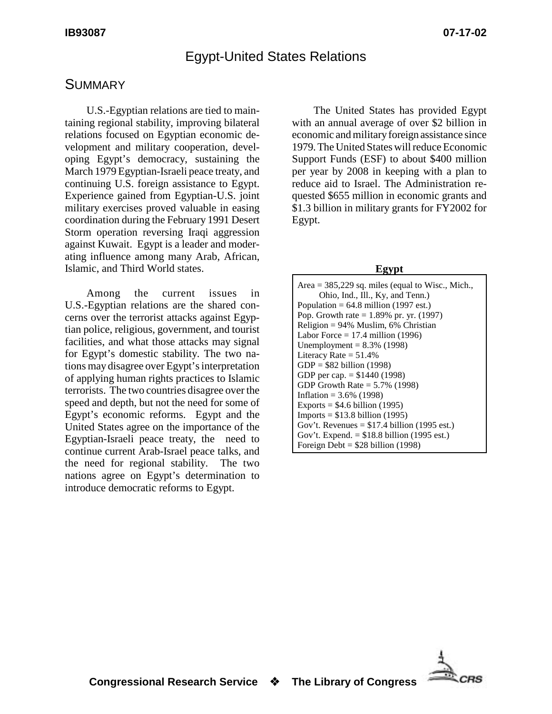# Egypt-United States Relations

## **SUMMARY**

U.S.-Egyptian relations are tied to maintaining regional stability, improving bilateral relations focused on Egyptian economic development and military cooperation, developing Egypt's democracy, sustaining the March 1979 Egyptian-Israeli peace treaty, and continuing U.S. foreign assistance to Egypt. Experience gained from Egyptian-U.S. joint military exercises proved valuable in easing coordination during the February 1991 Desert Storm operation reversing Iraqi aggression against Kuwait. Egypt is a leader and moderating influence among many Arab, African, Islamic, and Third World states.

Among the current issues in U.S.-Egyptian relations are the shared concerns over the terrorist attacks against Egyptian police, religious, government, and tourist facilities, and what those attacks may signal for Egypt's domestic stability. The two nations may disagree over Egypt's interpretation of applying human rights practices to Islamic terrorists. The two countries disagree over the speed and depth, but not the need for some of Egypt's economic reforms. Egypt and the United States agree on the importance of the Egyptian-Israeli peace treaty, the need to continue current Arab-Israel peace talks, and the need for regional stability. The two nations agree on Egypt's determination to introduce democratic reforms to Egypt.

The United States has provided Egypt with an annual average of over \$2 billion in economic and military foreign assistance since 1979. The United States will reduce Economic Support Funds (ESF) to about \$400 million per year by 2008 in keeping with a plan to reduce aid to Israel. The Administration requested \$655 million in economic grants and \$1.3 billion in military grants for FY2002 for Egypt.

#### **Egypt**

| Area $=$ 385,229 sq. miles (equal to Wisc., Mich., |
|----------------------------------------------------|
| Ohio, Ind., Ill., Ky, and Tenn.)                   |
| Population = $64.8$ million (1997 est.)            |
| Pop. Growth rate = $1.89%$ pr. yr. (1997)          |
| Religion = $94\%$ Muslim, 6% Christian             |
| Labor Force = $17.4$ million (1996)                |
| Unemployment = $8.3\%$ (1998)                      |
| Literacy Rate $= 51.4\%$                           |
| $GDP = $82 \text{ billion} (1998)$                 |
| GDP per cap. $=$ \$1440 (1998)                     |
| GDP Growth Rate $= 5.7\%$ (1998)                   |
| Inflation = $3.6\%$ (1998)                         |
| Exports = $$4.6$ billion (1995)                    |
| $Imports = $13.8 \text{ billion} (1995)$           |
| Gov't. Revenues = $$17.4$ billion (1995 est.)      |
| Gov't. Expend. $= $18.8$ billion (1995 est.)       |
| Foreign Debt = $$28$ billion (1998)                |

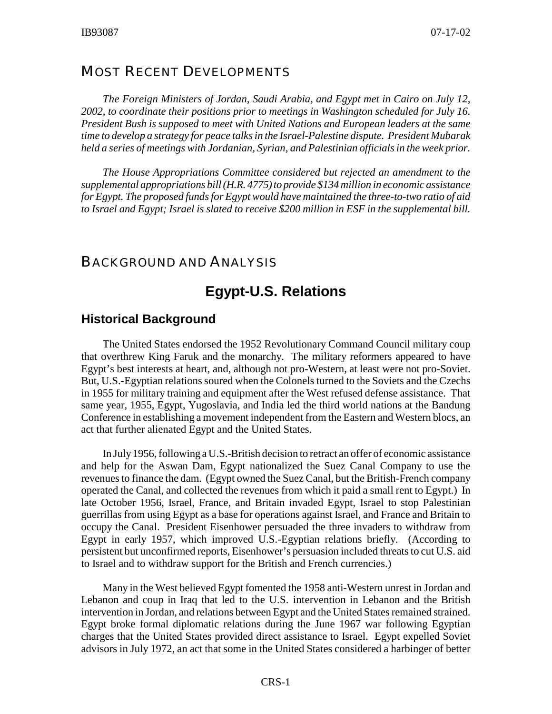#### MOST RECENT DEVELOPMENTS

*The Foreign Ministers of Jordan, Saudi Arabia, and Egypt met in Cairo on July 12, 2002, to coordinate their positions prior to meetings in Washington scheduled for July 16. President Bush is supposed to meet with United Nations and European leaders at the same time to develop a strategy for peace talks in the Israel-Palestine dispute. President Mubarak held a series of meetings with Jordanian, Syrian, and Palestinian officials in the week prior.*

*The House Appropriations Committee considered but rejected an amendment to the supplemental appropriations bill (H.R. 4775) to provide \$134 million in economic assistance for Egypt. The proposed funds for Egypt would have maintained the three-to-two ratio of aid to Israel and Egypt; Israel is slated to receive \$200 million in ESF in the supplemental bill.*

#### BACKGROUND AND ANALYSIS

## **Egypt-U.S. Relations**

#### **Historical Background**

The United States endorsed the 1952 Revolutionary Command Council military coup that overthrew King Faruk and the monarchy. The military reformers appeared to have Egypt's best interests at heart, and, although not pro-Western, at least were not pro-Soviet. But, U.S.-Egyptian relations soured when the Colonels turned to the Soviets and the Czechs in 1955 for military training and equipment after the West refused defense assistance. That same year, 1955, Egypt, Yugoslavia, and India led the third world nations at the Bandung Conference in establishing a movement independent from the Eastern and Western blocs, an act that further alienated Egypt and the United States.

In July 1956, following a U.S.-British decision to retract an offer of economic assistance and help for the Aswan Dam, Egypt nationalized the Suez Canal Company to use the revenues to finance the dam. (Egypt owned the Suez Canal, but the British-French company operated the Canal, and collected the revenues from which it paid a small rent to Egypt.) In late October 1956, Israel, France, and Britain invaded Egypt, Israel to stop Palestinian guerrillas from using Egypt as a base for operations against Israel, and France and Britain to occupy the Canal. President Eisenhower persuaded the three invaders to withdraw from Egypt in early 1957, which improved U.S.-Egyptian relations briefly. (According to persistent but unconfirmed reports, Eisenhower's persuasion included threats to cut U.S. aid to Israel and to withdraw support for the British and French currencies.)

Many in the West believed Egypt fomented the 1958 anti-Western unrest in Jordan and Lebanon and coup in Iraq that led to the U.S. intervention in Lebanon and the British intervention in Jordan, and relations between Egypt and the United States remained strained. Egypt broke formal diplomatic relations during the June 1967 war following Egyptian charges that the United States provided direct assistance to Israel. Egypt expelled Soviet advisors in July 1972, an act that some in the United States considered a harbinger of better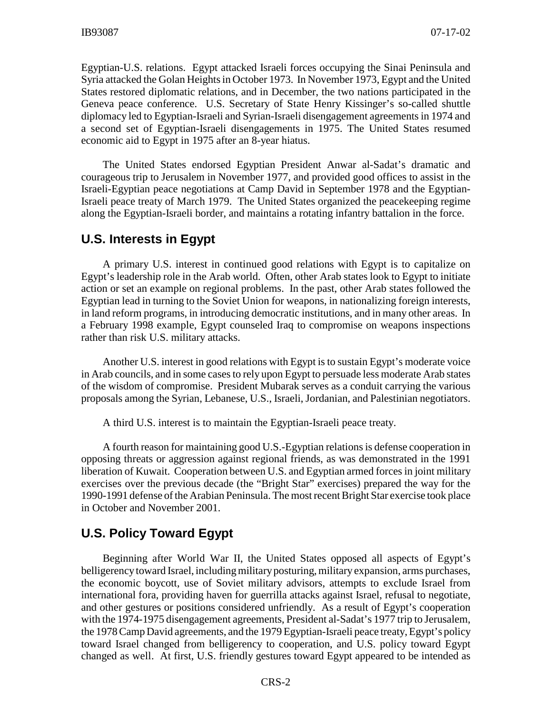Egyptian-U.S. relations. Egypt attacked Israeli forces occupying the Sinai Peninsula and Syria attacked the Golan Heights in October 1973. In November 1973, Egypt and the United States restored diplomatic relations, and in December, the two nations participated in the Geneva peace conference. U.S. Secretary of State Henry Kissinger's so-called shuttle diplomacy led to Egyptian-Israeli and Syrian-Israeli disengagement agreements in 1974 and a second set of Egyptian-Israeli disengagements in 1975. The United States resumed economic aid to Egypt in 1975 after an 8-year hiatus.

The United States endorsed Egyptian President Anwar al-Sadat's dramatic and courageous trip to Jerusalem in November 1977, and provided good offices to assist in the Israeli-Egyptian peace negotiations at Camp David in September 1978 and the Egyptian-Israeli peace treaty of March 1979. The United States organized the peacekeeping regime along the Egyptian-Israeli border, and maintains a rotating infantry battalion in the force.

#### **U.S. Interests in Egypt**

A primary U.S. interest in continued good relations with Egypt is to capitalize on Egypt's leadership role in the Arab world. Often, other Arab states look to Egypt to initiate action or set an example on regional problems. In the past, other Arab states followed the Egyptian lead in turning to the Soviet Union for weapons, in nationalizing foreign interests, in land reform programs, in introducing democratic institutions, and in many other areas. In a February 1998 example, Egypt counseled Iraq to compromise on weapons inspections rather than risk U.S. military attacks.

Another U.S. interest in good relations with Egypt is to sustain Egypt's moderate voice in Arab councils, and in some cases to rely upon Egypt to persuade less moderate Arab states of the wisdom of compromise. President Mubarak serves as a conduit carrying the various proposals among the Syrian, Lebanese, U.S., Israeli, Jordanian, and Palestinian negotiators.

A third U.S. interest is to maintain the Egyptian-Israeli peace treaty.

A fourth reason for maintaining good U.S.-Egyptian relations is defense cooperation in opposing threats or aggression against regional friends, as was demonstrated in the 1991 liberation of Kuwait. Cooperation between U.S. and Egyptian armed forces in joint military exercises over the previous decade (the "Bright Star" exercises) prepared the way for the 1990-1991 defense of the Arabian Peninsula. The most recent Bright Star exercise took place in October and November 2001.

## **U.S. Policy Toward Egypt**

Beginning after World War II, the United States opposed all aspects of Egypt's belligerency toward Israel, including military posturing, military expansion, arms purchases, the economic boycott, use of Soviet military advisors, attempts to exclude Israel from international fora, providing haven for guerrilla attacks against Israel, refusal to negotiate, and other gestures or positions considered unfriendly. As a result of Egypt's cooperation with the 1974-1975 disengagement agreements, President al-Sadat's 1977 trip to Jerusalem, the 1978 Camp David agreements, and the 1979 Egyptian-Israeli peace treaty, Egypt's policy toward Israel changed from belligerency to cooperation, and U.S. policy toward Egypt changed as well. At first, U.S. friendly gestures toward Egypt appeared to be intended as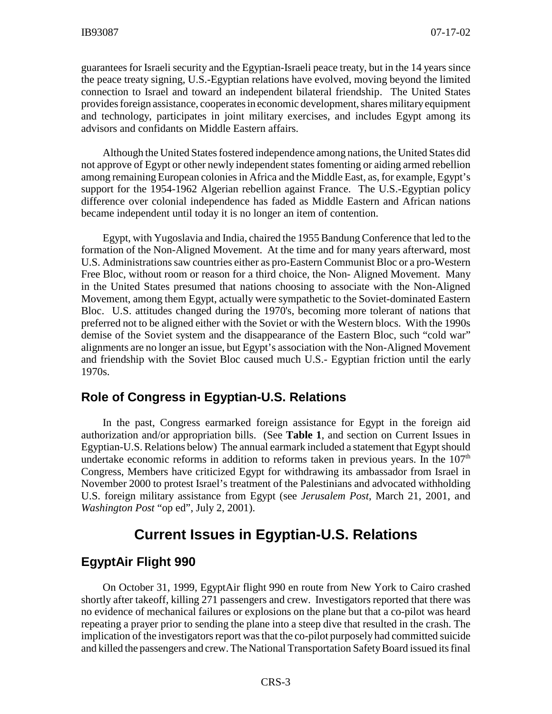guarantees for Israeli security and the Egyptian-Israeli peace treaty, but in the 14 years since the peace treaty signing, U.S.-Egyptian relations have evolved, moving beyond the limited connection to Israel and toward an independent bilateral friendship. The United States provides foreign assistance, cooperates in economic development, shares military equipment and technology, participates in joint military exercises, and includes Egypt among its advisors and confidants on Middle Eastern affairs.

Although the United States fostered independence among nations, the United States did not approve of Egypt or other newly independent states fomenting or aiding armed rebellion among remaining European colonies in Africa and the Middle East, as, for example, Egypt's support for the 1954-1962 Algerian rebellion against France. The U.S.-Egyptian policy difference over colonial independence has faded as Middle Eastern and African nations became independent until today it is no longer an item of contention.

Egypt, with Yugoslavia and India, chaired the 1955 Bandung Conference that led to the formation of the Non-Aligned Movement. At the time and for many years afterward, most U.S. Administrations saw countries either as pro-Eastern Communist Bloc or a pro-Western Free Bloc, without room or reason for a third choice, the Non- Aligned Movement. Many in the United States presumed that nations choosing to associate with the Non-Aligned Movement, among them Egypt, actually were sympathetic to the Soviet-dominated Eastern Bloc. U.S. attitudes changed during the 1970's, becoming more tolerant of nations that preferred not to be aligned either with the Soviet or with the Western blocs. With the 1990s demise of the Soviet system and the disappearance of the Eastern Bloc, such "cold war" alignments are no longer an issue, but Egypt's association with the Non-Aligned Movement and friendship with the Soviet Bloc caused much U.S.- Egyptian friction until the early 1970s.

## **Role of Congress in Egyptian-U.S. Relations**

In the past, Congress earmarked foreign assistance for Egypt in the foreign aid authorization and/or appropriation bills. (See **Table 1**, and section on Current Issues in Egyptian-U.S. Relations below) The annual earmark included a statement that Egypt should undertake economic reforms in addition to reforms taken in previous years. In the  $107<sup>th</sup>$ Congress, Members have criticized Egypt for withdrawing its ambassador from Israel in November 2000 to protest Israel's treatment of the Palestinians and advocated withholding U.S. foreign military assistance from Egypt (see *Jerusalem Post*, March 21, 2001, and *Washington Post* "op ed", July 2, 2001).

## **Current Issues in Egyptian-U.S. Relations**

## **EgyptAir Flight 990**

On October 31, 1999, EgyptAir flight 990 en route from New York to Cairo crashed shortly after takeoff, killing 271 passengers and crew. Investigators reported that there was no evidence of mechanical failures or explosions on the plane but that a co-pilot was heard repeating a prayer prior to sending the plane into a steep dive that resulted in the crash. The implication of the investigators report was that the co-pilot purposely had committed suicide and killed the passengers and crew. The National Transportation Safety Board issued its final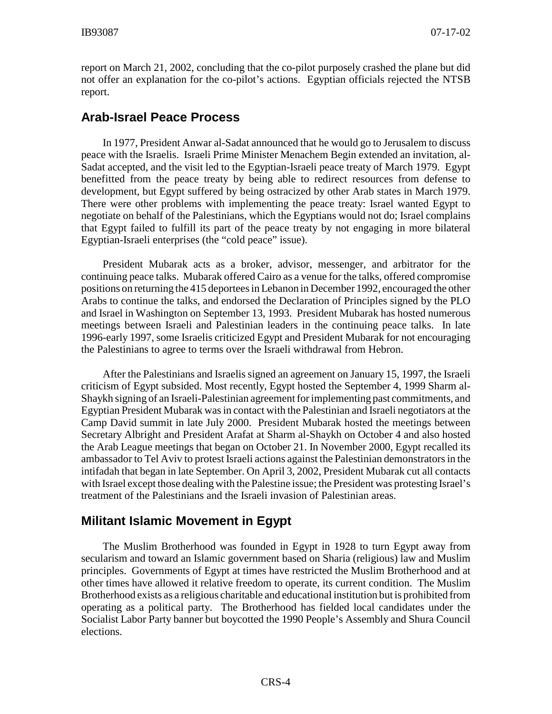report on March 21, 2002, concluding that the co-pilot purposely crashed the plane but did not offer an explanation for the co-pilot's actions. Egyptian officials rejected the NTSB report.

## **Arab-Israel Peace Process**

In 1977, President Anwar al-Sadat announced that he would go to Jerusalem to discuss peace with the Israelis. Israeli Prime Minister Menachem Begin extended an invitation, al-Sadat accepted, and the visit led to the Egyptian-Israeli peace treaty of March 1979. Egypt benefitted from the peace treaty by being able to redirect resources from defense to development, but Egypt suffered by being ostracized by other Arab states in March 1979. There were other problems with implementing the peace treaty: Israel wanted Egypt to negotiate on behalf of the Palestinians, which the Egyptians would not do; Israel complains that Egypt failed to fulfill its part of the peace treaty by not engaging in more bilateral Egyptian-Israeli enterprises (the "cold peace" issue).

President Mubarak acts as a broker, advisor, messenger, and arbitrator for the continuing peace talks. Mubarak offered Cairo as a venue for the talks, offered compromise positions on returning the 415 deportees in Lebanon in December 1992, encouraged the other Arabs to continue the talks, and endorsed the Declaration of Principles signed by the PLO and Israel in Washington on September 13, 1993. President Mubarak has hosted numerous meetings between Israeli and Palestinian leaders in the continuing peace talks. In late 1996-early 1997, some Israelis criticized Egypt and President Mubarak for not encouraging the Palestinians to agree to terms over the Israeli withdrawal from Hebron.

After the Palestinians and Israelis signed an agreement on January 15, 1997, the Israeli criticism of Egypt subsided. Most recently, Egypt hosted the September 4, 1999 Sharm al-Shaykh signing of an Israeli-Palestinian agreement for implementing past commitments, and Egyptian President Mubarak was in contact with the Palestinian and Israeli negotiators at the Camp David summit in late July 2000. President Mubarak hosted the meetings between Secretary Albright and President Arafat at Sharm al-Shaykh on October 4 and also hosted the Arab League meetings that began on October 21. In November 2000, Egypt recalled its ambassador to Tel Aviv to protest Israeli actions against the Palestinian demonstrators in the intifadah that began in late September. On April 3, 2002, President Mubarak cut all contacts with Israel except those dealing with the Palestine issue; the President was protesting Israel's treatment of the Palestinians and the Israeli invasion of Palestinian areas.

## **Militant Islamic Movement in Egypt**

The Muslim Brotherhood was founded in Egypt in 1928 to turn Egypt away from secularism and toward an Islamic government based on Sharia (religious) law and Muslim principles. Governments of Egypt at times have restricted the Muslim Brotherhood and at other times have allowed it relative freedom to operate, its current condition. The Muslim Brotherhood exists as a religious charitable and educational institution but is prohibited from operating as a political party. The Brotherhood has fielded local candidates under the Socialist Labor Party banner but boycotted the 1990 People's Assembly and Shura Council elections.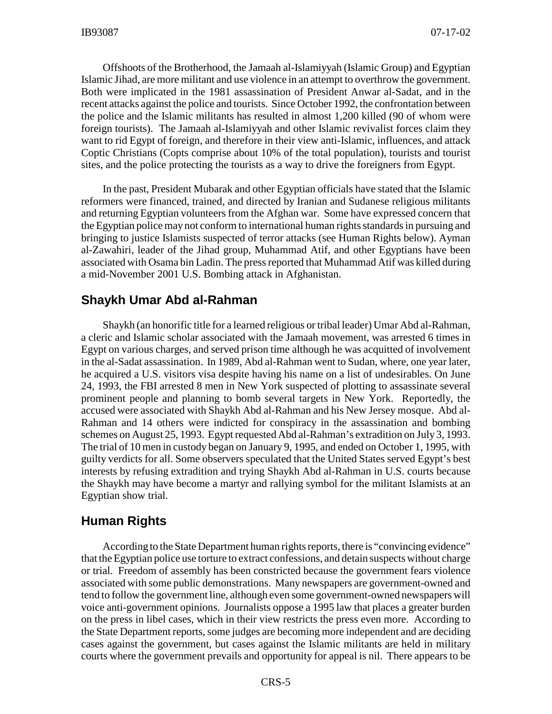Offshoots of the Brotherhood, the Jamaah al-Islamiyyah (Islamic Group) and Egyptian Islamic Jihad, are more militant and use violence in an attempt to overthrow the government. Both were implicated in the 1981 assassination of President Anwar al-Sadat, and in the recent attacks against the police and tourists. Since October 1992, the confrontation between the police and the Islamic militants has resulted in almost 1,200 killed (90 of whom were foreign tourists). The Jamaah al-Islamiyyah and other Islamic revivalist forces claim they want to rid Egypt of foreign, and therefore in their view anti-Islamic, influences, and attack Coptic Christians (Copts comprise about 10% of the total population), tourists and tourist sites, and the police protecting the tourists as a way to drive the foreigners from Egypt.

In the past, President Mubarak and other Egyptian officials have stated that the Islamic reformers were financed, trained, and directed by Iranian and Sudanese religious militants and returning Egyptian volunteers from the Afghan war. Some have expressed concern that the Egyptian police may not conform to international human rights standards in pursuing and bringing to justice Islamists suspected of terror attacks (see Human Rights below). Ayman al-Zawahiri, leader of the Jihad group, Muhammad Atif, and other Egyptians have been associated with Osama bin Ladin. The press reported that Muhammad Atif was killed during a mid-November 2001 U.S. Bombing attack in Afghanistan.

#### **Shaykh Umar Abd al-Rahman**

Shaykh (an honorific title for a learned religious or tribal leader) Umar Abd al-Rahman, a cleric and Islamic scholar associated with the Jamaah movement, was arrested 6 times in Egypt on various charges, and served prison time although he was acquitted of involvement in the al-Sadat assassination. In 1989, Abd al-Rahman went to Sudan, where, one year later, he acquired a U.S. visitors visa despite having his name on a list of undesirables. On June 24, 1993, the FBI arrested 8 men in New York suspected of plotting to assassinate several prominent people and planning to bomb several targets in New York. Reportedly, the accused were associated with Shaykh Abd al-Rahman and his New Jersey mosque. Abd al-Rahman and 14 others were indicted for conspiracy in the assassination and bombing schemes on August 25, 1993. Egypt requested Abd al-Rahman's extradition on July 3, 1993. The trial of 10 men in custody began on January 9, 1995, and ended on October 1, 1995, with guilty verdicts for all. Some observers speculated that the United States served Egypt's best interests by refusing extradition and trying Shaykh Abd al-Rahman in U.S. courts because the Shaykh may have become a martyr and rallying symbol for the militant Islamists at an Egyptian show trial.

#### **Human Rights**

According to the State Department human rights reports, there is "convincing evidence" that the Egyptian police use torture to extract confessions, and detain suspects without charge or trial. Freedom of assembly has been constricted because the government fears violence associated with some public demonstrations. Many newspapers are government-owned and tend to follow the government line, although even some government-owned newspapers will voice anti-government opinions. Journalists oppose a 1995 law that places a greater burden on the press in libel cases, which in their view restricts the press even more. According to the State Department reports, some judges are becoming more independent and are deciding cases against the government, but cases against the Islamic militants are held in military courts where the government prevails and opportunity for appeal is nil. There appears to be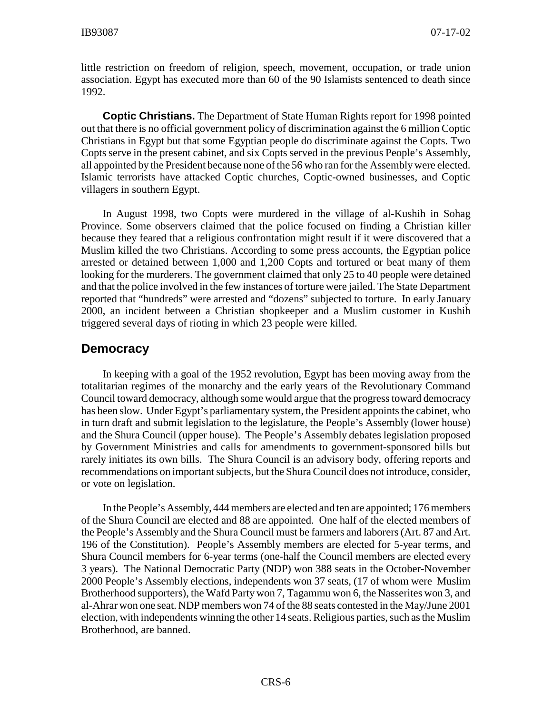little restriction on freedom of religion, speech, movement, occupation, or trade union association. Egypt has executed more than 60 of the 90 Islamists sentenced to death since 1992.

**Coptic Christians.** The Department of State Human Rights report for 1998 pointed out that there is no official government policy of discrimination against the 6 million Coptic Christians in Egypt but that some Egyptian people do discriminate against the Copts. Two Copts serve in the present cabinet, and six Copts served in the previous People's Assembly, all appointed by the President because none of the 56 who ran for the Assembly were elected. Islamic terrorists have attacked Coptic churches, Coptic-owned businesses, and Coptic villagers in southern Egypt.

In August 1998, two Copts were murdered in the village of al-Kushih in Sohag Province. Some observers claimed that the police focused on finding a Christian killer because they feared that a religious confrontation might result if it were discovered that a Muslim killed the two Christians. According to some press accounts, the Egyptian police arrested or detained between 1,000 and 1,200 Copts and tortured or beat many of them looking for the murderers. The government claimed that only 25 to 40 people were detained and that the police involved in the few instances of torture were jailed. The State Department reported that "hundreds" were arrested and "dozens" subjected to torture. In early January 2000, an incident between a Christian shopkeeper and a Muslim customer in Kushih triggered several days of rioting in which 23 people were killed.

#### **Democracy**

In keeping with a goal of the 1952 revolution, Egypt has been moving away from the totalitarian regimes of the monarchy and the early years of the Revolutionary Command Council toward democracy, although some would argue that the progress toward democracy has been slow. Under Egypt's parliamentary system, the President appoints the cabinet, who in turn draft and submit legislation to the legislature, the People's Assembly (lower house) and the Shura Council (upper house). The People's Assembly debates legislation proposed by Government Ministries and calls for amendments to government-sponsored bills but rarely initiates its own bills. The Shura Council is an advisory body, offering reports and recommendations on important subjects, but the Shura Council does not introduce, consider, or vote on legislation.

In the People's Assembly, 444 members are elected and ten are appointed; 176 members of the Shura Council are elected and 88 are appointed. One half of the elected members of the People's Assembly and the Shura Council must be farmers and laborers (Art. 87 and Art. 196 of the Constitution). People's Assembly members are elected for 5-year terms, and Shura Council members for 6-year terms (one-half the Council members are elected every 3 years). The National Democratic Party (NDP) won 388 seats in the October-November 2000 People's Assembly elections, independents won 37 seats, (17 of whom were Muslim Brotherhood supporters), the Wafd Party won 7, Tagammu won 6, the Nasserites won 3, and al-Ahrar won one seat. NDP members won 74 of the 88 seats contested in the May/June 2001 election, with independents winning the other 14 seats. Religious parties, such as the Muslim Brotherhood, are banned.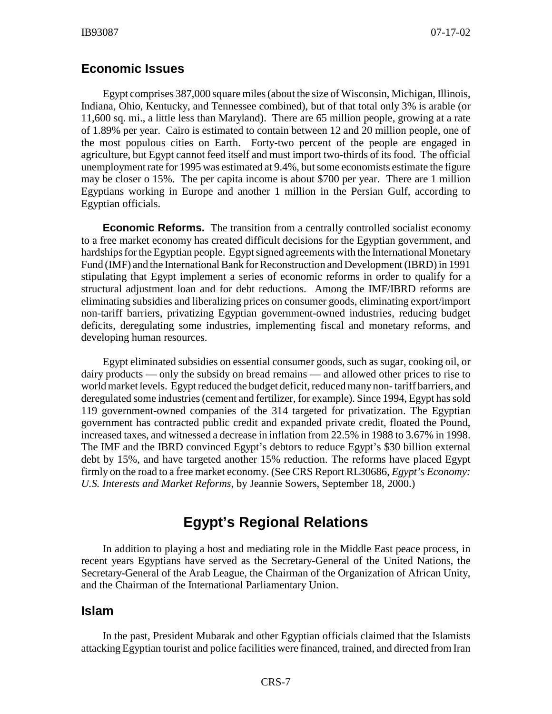#### **Economic Issues**

Egypt comprises 387,000 square miles (about the size of Wisconsin, Michigan, Illinois, Indiana, Ohio, Kentucky, and Tennessee combined), but of that total only 3% is arable (or 11,600 sq. mi., a little less than Maryland). There are 65 million people, growing at a rate of 1.89% per year. Cairo is estimated to contain between 12 and 20 million people, one of the most populous cities on Earth. Forty-two percent of the people are engaged in agriculture, but Egypt cannot feed itself and must import two-thirds of its food. The official unemployment rate for 1995 was estimated at 9.4%, but some economists estimate the figure may be closer o 15%. The per capita income is about \$700 per year. There are 1 million Egyptians working in Europe and another 1 million in the Persian Gulf, according to Egyptian officials.

**Economic Reforms.** The transition from a centrally controlled socialist economy to a free market economy has created difficult decisions for the Egyptian government, and hardships for the Egyptian people. Egypt signed agreements with the International Monetary Fund (IMF) and the International Bank for Reconstruction and Development (IBRD) in 1991 stipulating that Egypt implement a series of economic reforms in order to qualify for a structural adjustment loan and for debt reductions. Among the IMF/IBRD reforms are eliminating subsidies and liberalizing prices on consumer goods, eliminating export/import non-tariff barriers, privatizing Egyptian government-owned industries, reducing budget deficits, deregulating some industries, implementing fiscal and monetary reforms, and developing human resources.

Egypt eliminated subsidies on essential consumer goods, such as sugar, cooking oil, or dairy products — only the subsidy on bread remains — and allowed other prices to rise to world market levels. Egypt reduced the budget deficit, reduced many non- tariff barriers, and deregulated some industries (cement and fertilizer, for example). Since 1994, Egypt has sold 119 government-owned companies of the 314 targeted for privatization. The Egyptian government has contracted public credit and expanded private credit, floated the Pound, increased taxes, and witnessed a decrease in inflation from 22.5% in 1988 to 3.67% in 1998. The IMF and the IBRD convinced Egypt's debtors to reduce Egypt's \$30 billion external debt by 15%, and have targeted another 15% reduction. The reforms have placed Egypt firmly on the road to a free market economy. (See CRS Report RL30686, *Egypt's Economy: U.S. Interests and Market Reforms*, by Jeannie Sowers, September 18, 2000.)

## **Egypt's Regional Relations**

In addition to playing a host and mediating role in the Middle East peace process, in recent years Egyptians have served as the Secretary-General of the United Nations, the Secretary-General of the Arab League, the Chairman of the Organization of African Unity, and the Chairman of the International Parliamentary Union.

#### **Islam**

In the past, President Mubarak and other Egyptian officials claimed that the Islamists attacking Egyptian tourist and police facilities were financed, trained, and directed from Iran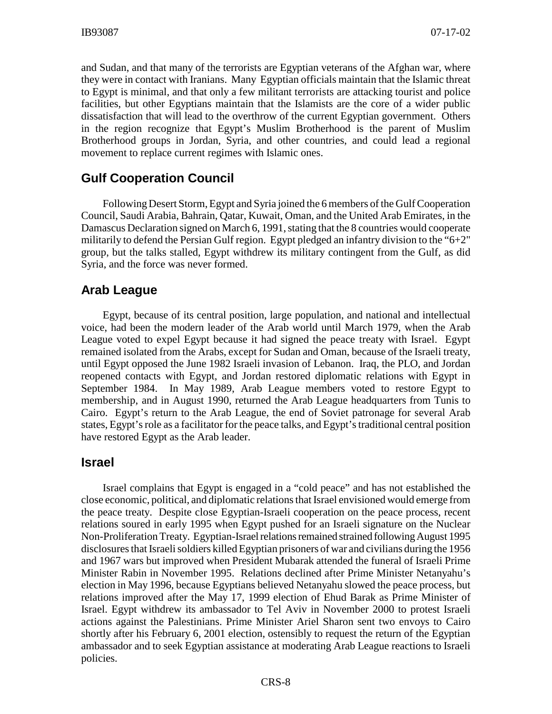and Sudan, and that many of the terrorists are Egyptian veterans of the Afghan war, where they were in contact with Iranians. Many Egyptian officials maintain that the Islamic threat to Egypt is minimal, and that only a few militant terrorists are attacking tourist and police facilities, but other Egyptians maintain that the Islamists are the core of a wider public dissatisfaction that will lead to the overthrow of the current Egyptian government. Others in the region recognize that Egypt's Muslim Brotherhood is the parent of Muslim Brotherhood groups in Jordan, Syria, and other countries, and could lead a regional movement to replace current regimes with Islamic ones.

## **Gulf Cooperation Council**

Following Desert Storm, Egypt and Syria joined the 6 members of the Gulf Cooperation Council, Saudi Arabia, Bahrain, Qatar, Kuwait, Oman, and the United Arab Emirates, in the Damascus Declaration signed on March 6, 1991, stating that the 8 countries would cooperate militarily to defend the Persian Gulf region. Egypt pledged an infantry division to the " $6+2$ " group, but the talks stalled, Egypt withdrew its military contingent from the Gulf, as did Syria, and the force was never formed.

## **Arab League**

Egypt, because of its central position, large population, and national and intellectual voice, had been the modern leader of the Arab world until March 1979, when the Arab League voted to expel Egypt because it had signed the peace treaty with Israel. Egypt remained isolated from the Arabs, except for Sudan and Oman, because of the Israeli treaty, until Egypt opposed the June 1982 Israeli invasion of Lebanon. Iraq, the PLO, and Jordan reopened contacts with Egypt, and Jordan restored diplomatic relations with Egypt in September 1984. In May 1989, Arab League members voted to restore Egypt to membership, and in August 1990, returned the Arab League headquarters from Tunis to Cairo. Egypt's return to the Arab League, the end of Soviet patronage for several Arab states, Egypt's role as a facilitator for the peace talks, and Egypt's traditional central position have restored Egypt as the Arab leader.

#### **Israel**

Israel complains that Egypt is engaged in a "cold peace" and has not established the close economic, political, and diplomatic relations that Israel envisioned would emerge from the peace treaty. Despite close Egyptian-Israeli cooperation on the peace process, recent relations soured in early 1995 when Egypt pushed for an Israeli signature on the Nuclear Non-Proliferation Treaty. Egyptian-Israel relations remained strained following August 1995 disclosures that Israeli soldiers killed Egyptian prisoners of war and civilians during the 1956 and 1967 wars but improved when President Mubarak attended the funeral of Israeli Prime Minister Rabin in November 1995. Relations declined after Prime Minister Netanyahu's election in May 1996, because Egyptians believed Netanyahu slowed the peace process, but relations improved after the May 17, 1999 election of Ehud Barak as Prime Minister of Israel. Egypt withdrew its ambassador to Tel Aviv in November 2000 to protest Israeli actions against the Palestinians. Prime Minister Ariel Sharon sent two envoys to Cairo shortly after his February 6, 2001 election, ostensibly to request the return of the Egyptian ambassador and to seek Egyptian assistance at moderating Arab League reactions to Israeli policies.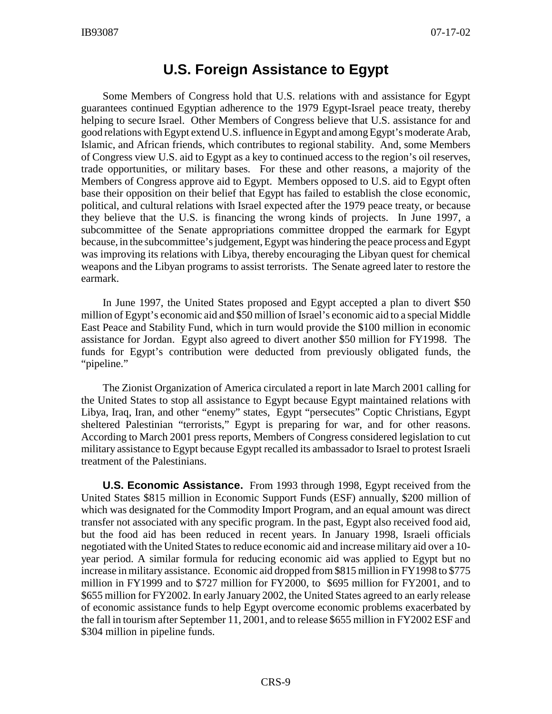## **U.S. Foreign Assistance to Egypt**

Some Members of Congress hold that U.S. relations with and assistance for Egypt guarantees continued Egyptian adherence to the 1979 Egypt-Israel peace treaty, thereby helping to secure Israel. Other Members of Congress believe that U.S. assistance for and good relations with Egypt extend U.S. influence in Egypt and among Egypt's moderate Arab, Islamic, and African friends, which contributes to regional stability. And, some Members of Congress view U.S. aid to Egypt as a key to continued access to the region's oil reserves, trade opportunities, or military bases. For these and other reasons, a majority of the Members of Congress approve aid to Egypt. Members opposed to U.S. aid to Egypt often base their opposition on their belief that Egypt has failed to establish the close economic, political, and cultural relations with Israel expected after the 1979 peace treaty, or because they believe that the U.S. is financing the wrong kinds of projects. In June 1997, a subcommittee of the Senate appropriations committee dropped the earmark for Egypt because, in the subcommittee's judgement, Egypt was hindering the peace process and Egypt was improving its relations with Libya, thereby encouraging the Libyan quest for chemical weapons and the Libyan programs to assist terrorists. The Senate agreed later to restore the earmark.

In June 1997, the United States proposed and Egypt accepted a plan to divert \$50 million of Egypt's economic aid and \$50 million of Israel's economic aid to a special Middle East Peace and Stability Fund, which in turn would provide the \$100 million in economic assistance for Jordan. Egypt also agreed to divert another \$50 million for FY1998. The funds for Egypt's contribution were deducted from previously obligated funds, the "pipeline."

The Zionist Organization of America circulated a report in late March 2001 calling for the United States to stop all assistance to Egypt because Egypt maintained relations with Libya, Iraq, Iran, and other "enemy" states, Egypt "persecutes" Coptic Christians, Egypt sheltered Palestinian "terrorists," Egypt is preparing for war, and for other reasons. According to March 2001 press reports, Members of Congress considered legislation to cut military assistance to Egypt because Egypt recalled its ambassador to Israel to protest Israeli treatment of the Palestinians.

**U.S. Economic Assistance.** From 1993 through 1998, Egypt received from the United States \$815 million in Economic Support Funds (ESF) annually, \$200 million of which was designated for the Commodity Import Program, and an equal amount was direct transfer not associated with any specific program. In the past, Egypt also received food aid, but the food aid has been reduced in recent years. In January 1998, Israeli officials negotiated with the United States to reduce economic aid and increase military aid over a 10 year period. A similar formula for reducing economic aid was applied to Egypt but no increase in military assistance. Economic aid dropped from \$815 million in FY1998 to \$775 million in FY1999 and to \$727 million for FY2000, to \$695 million for FY2001, and to \$655 million for FY2002. In early January 2002, the United States agreed to an early release of economic assistance funds to help Egypt overcome economic problems exacerbated by the fall in tourism after September 11, 2001, and to release \$655 million in FY2002 ESF and \$304 million in pipeline funds.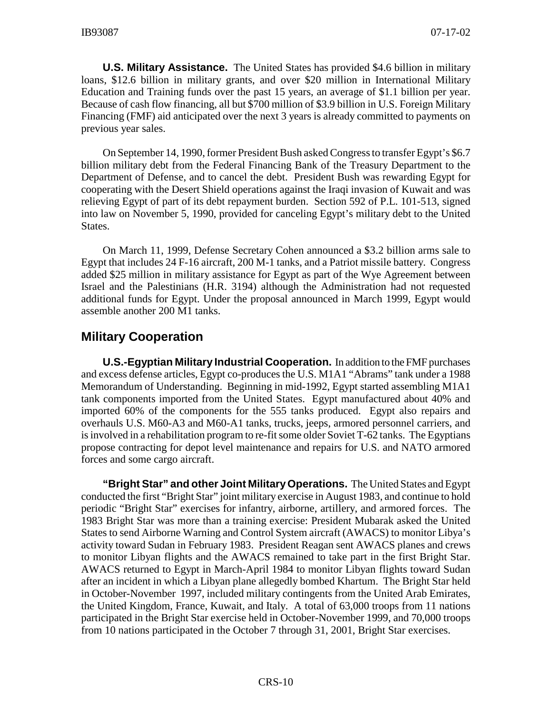**U.S. Military Assistance.** The United States has provided \$4.6 billion in military loans, \$12.6 billion in military grants, and over \$20 million in International Military Education and Training funds over the past 15 years, an average of \$1.1 billion per year. Because of cash flow financing, all but \$700 million of \$3.9 billion in U.S. Foreign Military Financing (FMF) aid anticipated over the next 3 years is already committed to payments on previous year sales.

On September 14, 1990, former President Bush asked Congress to transfer Egypt's \$6.7 billion military debt from the Federal Financing Bank of the Treasury Department to the Department of Defense, and to cancel the debt. President Bush was rewarding Egypt for cooperating with the Desert Shield operations against the Iraqi invasion of Kuwait and was relieving Egypt of part of its debt repayment burden. Section 592 of P.L. 101-513, signed into law on November 5, 1990, provided for canceling Egypt's military debt to the United States.

On March 11, 1999, Defense Secretary Cohen announced a \$3.2 billion arms sale to Egypt that includes 24 F-16 aircraft, 200 M-1 tanks, and a Patriot missile battery. Congress added \$25 million in military assistance for Egypt as part of the Wye Agreement between Israel and the Palestinians (H.R. 3194) although the Administration had not requested additional funds for Egypt. Under the proposal announced in March 1999, Egypt would assemble another 200 M1 tanks.

## **Military Cooperation**

**U.S.-Egyptian Military Industrial Cooperation.** In addition to the FMF purchases and excess defense articles, Egypt co-produces the U.S. M1A1 "Abrams" tank under a 1988 Memorandum of Understanding. Beginning in mid-1992, Egypt started assembling M1A1 tank components imported from the United States. Egypt manufactured about 40% and imported 60% of the components for the 555 tanks produced. Egypt also repairs and overhauls U.S. M60-A3 and M60-A1 tanks, trucks, jeeps, armored personnel carriers, and is involved in a rehabilitation program to re-fit some older Soviet T-62 tanks. The Egyptians propose contracting for depot level maintenance and repairs for U.S. and NATO armored forces and some cargo aircraft.

**"Bright Star" and other Joint Military Operations.** The United States and Egypt conducted the first "Bright Star" joint military exercise in August 1983, and continue to hold periodic "Bright Star" exercises for infantry, airborne, artillery, and armored forces. The 1983 Bright Star was more than a training exercise: President Mubarak asked the United States to send Airborne Warning and Control System aircraft (AWACS) to monitor Libya's activity toward Sudan in February 1983. President Reagan sent AWACS planes and crews to monitor Libyan flights and the AWACS remained to take part in the first Bright Star. AWACS returned to Egypt in March-April 1984 to monitor Libyan flights toward Sudan after an incident in which a Libyan plane allegedly bombed Khartum. The Bright Star held in October-November 1997, included military contingents from the United Arab Emirates, the United Kingdom, France, Kuwait, and Italy. A total of 63,000 troops from 11 nations participated in the Bright Star exercise held in October-November 1999, and 70,000 troops from 10 nations participated in the October 7 through 31, 2001, Bright Star exercises.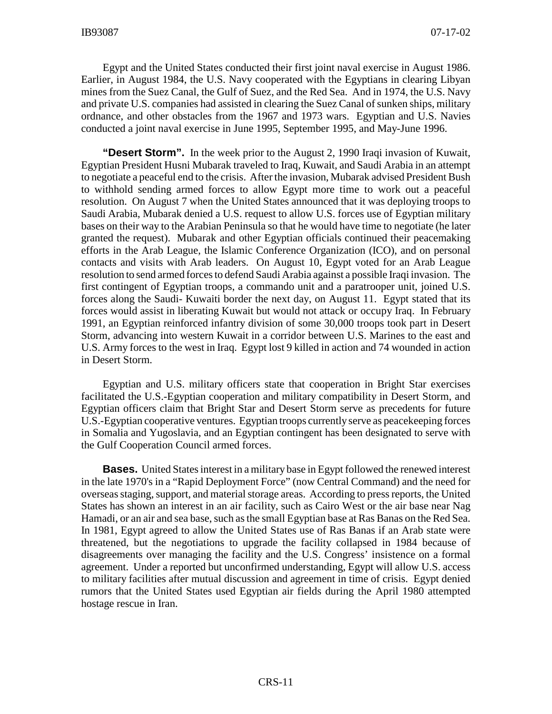Egypt and the United States conducted their first joint naval exercise in August 1986. Earlier, in August 1984, the U.S. Navy cooperated with the Egyptians in clearing Libyan mines from the Suez Canal, the Gulf of Suez, and the Red Sea. And in 1974, the U.S. Navy and private U.S. companies had assisted in clearing the Suez Canal of sunken ships, military ordnance, and other obstacles from the 1967 and 1973 wars. Egyptian and U.S. Navies conducted a joint naval exercise in June 1995, September 1995, and May-June 1996.

**"Desert Storm".** In the week prior to the August 2, 1990 Iraqi invasion of Kuwait, Egyptian President Husni Mubarak traveled to Iraq, Kuwait, and Saudi Arabia in an attempt to negotiate a peaceful end to the crisis. After the invasion, Mubarak advised President Bush to withhold sending armed forces to allow Egypt more time to work out a peaceful resolution. On August 7 when the United States announced that it was deploying troops to Saudi Arabia, Mubarak denied a U.S. request to allow U.S. forces use of Egyptian military bases on their way to the Arabian Peninsula so that he would have time to negotiate (he later granted the request). Mubarak and other Egyptian officials continued their peacemaking efforts in the Arab League, the Islamic Conference Organization (ICO), and on personal contacts and visits with Arab leaders. On August 10, Egypt voted for an Arab League resolution to send armed forces to defend Saudi Arabia against a possible Iraqi invasion. The first contingent of Egyptian troops, a commando unit and a paratrooper unit, joined U.S. forces along the Saudi- Kuwaiti border the next day, on August 11. Egypt stated that its forces would assist in liberating Kuwait but would not attack or occupy Iraq. In February 1991, an Egyptian reinforced infantry division of some 30,000 troops took part in Desert Storm, advancing into western Kuwait in a corridor between U.S. Marines to the east and U.S. Army forces to the west in Iraq. Egypt lost 9 killed in action and 74 wounded in action in Desert Storm.

Egyptian and U.S. military officers state that cooperation in Bright Star exercises facilitated the U.S.-Egyptian cooperation and military compatibility in Desert Storm, and Egyptian officers claim that Bright Star and Desert Storm serve as precedents for future U.S.-Egyptian cooperative ventures. Egyptian troops currently serve as peacekeeping forces in Somalia and Yugoslavia, and an Egyptian contingent has been designated to serve with the Gulf Cooperation Council armed forces.

**Bases.** United States interest in a military base in Egypt followed the renewed interest in the late 1970's in a "Rapid Deployment Force" (now Central Command) and the need for overseas staging, support, and material storage areas. According to press reports, the United States has shown an interest in an air facility, such as Cairo West or the air base near Nag Hamadi, or an air and sea base, such as the small Egyptian base at Ras Banas on the Red Sea. In 1981, Egypt agreed to allow the United States use of Ras Banas if an Arab state were threatened, but the negotiations to upgrade the facility collapsed in 1984 because of disagreements over managing the facility and the U.S. Congress' insistence on a formal agreement. Under a reported but unconfirmed understanding, Egypt will allow U.S. access to military facilities after mutual discussion and agreement in time of crisis. Egypt denied rumors that the United States used Egyptian air fields during the April 1980 attempted hostage rescue in Iran.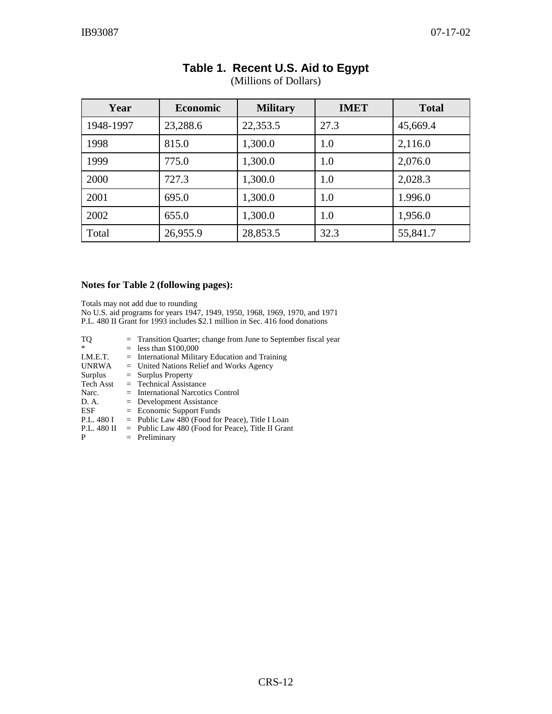| Year      | <b>Economic</b> | <b>Military</b> | <b>IMET</b> | <b>Total</b> |
|-----------|-----------------|-----------------|-------------|--------------|
| 1948-1997 | 23,288.6        | 22,353.5        | 27.3        | 45,669.4     |
| 1998      | 815.0           | 1,300.0         | 1.0         | 2,116.0      |
| 1999      | 775.0           | 1,300.0         | 1.0         | 2,076.0      |
| 2000      | 727.3           | 1,300.0         | 1.0         | 2,028.3      |
| 2001      | 695.0           | 1,300.0         | 1.0         | 1.996.0      |
| 2002      | 655.0           | 1,300.0         | 1.0         | 1,956.0      |
| Total     | 26,955.9        | 28,853.5        | 32.3        | 55,841.7     |

# **Table 1. Recent U.S. Aid to Egypt**

#### (Millions of Dollars)

#### **Notes for Table 2 (following pages):**

Totals may not add due to rounding No U.S. aid programs for years 1947, 1949, 1950, 1968, 1969, 1970, and 1971 P.L. 480 II Grant for 1993 includes \$2.1 million in Sec. 416 food donations

| TQ               | = Transition Quarter; change from June to September fiscal year |
|------------------|-----------------------------------------------------------------|
| $\ast$           | $=$ less than \$100,000                                         |
| I.M.E.T.         | $=$ International Military Education and Training               |
| <b>UNRWA</b>     | $=$ United Nations Relief and Works Agency                      |
| Surplus          | $=$ Surplus Property                                            |
| <b>Tech Asst</b> | $=$ Technical Assistance                                        |
| Narc.            | $=$ International Narcotics Control                             |
| D. A.            | $=$ Development Assistance                                      |
| ESF              | $=$ Economic Support Funds                                      |
| P.L. 480 I       | $=$ Public Law 480 (Food for Peace), Title I Loan               |
| P.L. 480 II      | $=$ Public Law 480 (Food for Peace), Title II Grant             |
| P                | $=$ Preliminary                                                 |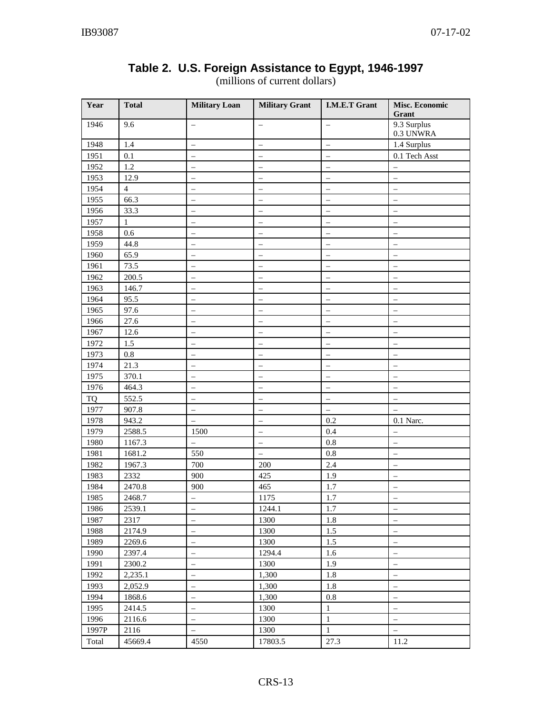| Year      | <b>Total</b>   | <b>Military Loan</b>     | <b>Military Grant</b>    | <b>I.M.E.T Grant</b>     | <b>Misc. Economic</b><br>Grant |  |
|-----------|----------------|--------------------------|--------------------------|--------------------------|--------------------------------|--|
| 1946      | 9.6            |                          | $\qquad \qquad -$        | $\equiv$                 | 9.3 Surplus<br>0.3 UNWRA       |  |
| 1948      | 1.4            | $\equiv$                 | $\qquad \qquad -$        |                          | 1.4 Surplus                    |  |
| 1951      | 0.1            |                          | $\equiv$                 |                          | 0.1 Tech Asst                  |  |
| 1952      | 1.2            |                          | $\equiv$                 |                          |                                |  |
| 1953      | 12.9           |                          |                          |                          | $\overline{\phantom{0}}$       |  |
| 1954      | $\overline{4}$ |                          |                          |                          |                                |  |
| 1955      | 66.3           |                          |                          |                          |                                |  |
| 1956      | 33.3           |                          | $\overline{\phantom{0}}$ |                          |                                |  |
| 1957      | $\mathbf{1}$   | $\equiv$                 | $\overline{\phantom{0}}$ | $\equiv$                 | $\qquad \qquad -$              |  |
| 1958      | 0.6            | $\overline{\phantom{0}}$ | $\qquad \qquad -$        | $\overline{\phantom{0}}$ | $\qquad \qquad -$              |  |
| 1959      | 44.8           |                          | $\overline{\phantom{m}}$ |                          | $\qquad \qquad -$              |  |
| 1960      | 65.9           | $\overline{\phantom{0}}$ | $\overline{\phantom{m}}$ |                          | $\qquad \qquad -$              |  |
| 1961      | 73.5           |                          | $\overline{\phantom{0}}$ |                          | $\overline{\phantom{0}}$       |  |
| 1962      | 200.5          |                          |                          |                          |                                |  |
| 1963      | 146.7          |                          |                          |                          |                                |  |
| 1964      | 95.5           |                          | $\overline{\phantom{0}}$ |                          | $\qquad \qquad -$              |  |
| 1965      | 97.6           |                          |                          |                          | $\overline{\phantom{0}}$       |  |
| 1966      | 27.6           |                          |                          |                          |                                |  |
| 1967      | 12.6           |                          | $\overline{\phantom{0}}$ |                          |                                |  |
| 1972      | 1.5            | $\overline{\phantom{0}}$ | $\overline{\phantom{0}}$ |                          |                                |  |
| 1973      | $0.8\,$        | $\overline{\phantom{0}}$ | $\overline{\phantom{0}}$ | $\qquad \qquad -$        | $\qquad \qquad -$              |  |
| 1974      | 21.3           | $\overline{\phantom{0}}$ | $\qquad \qquad -$        | $\qquad \qquad -$        | $\qquad \qquad -$              |  |
| 1975      | 370.1          | $\overline{\phantom{0}}$ | $\overline{\phantom{m}}$ | $\qquad \qquad -$        | $\overline{\phantom{m}}$       |  |
| 1976      | 464.3          | —                        | $\qquad \qquad -$        | $\qquad \qquad -$        | $\qquad \qquad -$              |  |
| <b>TQ</b> | 552.5          | $\overline{\phantom{0}}$ | $\overline{\phantom{0}}$ | $\overline{\phantom{0}}$ | $\qquad \qquad -$              |  |
| 1977      | 907.8          | $\qquad \qquad -$        | $\qquad \qquad -$        | $\overline{\phantom{0}}$ |                                |  |
| 1978      | 943.2          | $\equiv$                 | $\qquad \qquad -$        | 0.2                      | 0.1 Narc.                      |  |
| 1979      | 2588.5         | 1500                     | $\equiv$                 | 0.4                      | $\overline{\phantom{0}}$       |  |
| 1980      | 1167.3         |                          | $\overline{\phantom{0}}$ | 0.8                      | $\equiv$                       |  |
| 1981      | 1681.2         | 550                      | $\equiv$                 | 0.8                      |                                |  |
| 1982      | 1967.3         | 700                      | 200                      | 2.4                      |                                |  |
| 1983      | 2332           | 900                      | 425                      | 1.9                      |                                |  |
| 1984      | 2470.8         | 900                      | 465                      | 1.7                      | $\qquad \qquad -$              |  |
| 1985      | 2468.7         |                          | 1175                     | $1.7\,$                  |                                |  |
| 1986      | 2539.1         | $\frac{1}{2}$            | 1244.1                   | 1.7                      | $\frac{1}{2}$                  |  |
| 1987      | 2317           | $\qquad \qquad -$        | 1300                     | 1.8                      | $\overline{\phantom{0}}$       |  |
| 1988      | 2174.9         | $\qquad \qquad -$        | 1300                     | 1.5                      | $\overline{\phantom{0}}$       |  |
| 1989      | 2269.6         |                          | 1300                     | 1.5                      | $\overline{\phantom{0}}$       |  |
| 1990      | 2397.4         |                          | 1294.4                   | 1.6                      |                                |  |
| 1991      | 2300.2         |                          | 1300                     | 1.9                      | $\overline{\phantom{0}}$       |  |
| 1992      | 2,235.1        | $\overline{\phantom{0}}$ | 1,300                    | 1.8                      | $\overline{\phantom{0}}$       |  |
| 1993      | 2,052.9        |                          | 1,300                    | 1.8                      | $\overline{\phantom{a}}$       |  |
| 1994      | 1868.6         |                          | 1,300                    | 0.8                      | $\overline{\phantom{0}}$       |  |
| 1995      | 2414.5         | $\overline{\phantom{0}}$ | 1300                     | $\,1\,$                  | $\overline{\phantom{0}}$       |  |
| 1996      | 2116.6         | -                        | 1300                     | $\,1$                    | $\equiv$                       |  |
| 1997P     | 2116           | $\qquad \qquad -$        | 1300                     | $\mathbf{1}$             | $\equiv$                       |  |
| Total     | 45669.4        | 4550                     | 17803.5                  | 27.3                     | 11.2                           |  |

## **Table 2. U.S. Foreign Assistance to Egypt, 1946-1997**

(millions of current dollars)